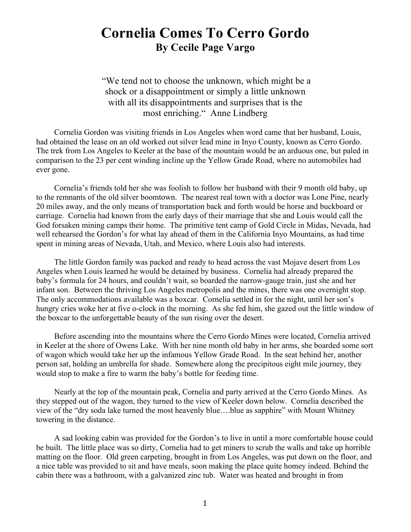## **Cornelia Comes To Cerro Gordo By Cecile Page Vargo**

"We tend not to choose the unknown, which might be a shock or a disappointment or simply a little unknown with all its disappointments and surprises that is the most enriching." Anne Lindberg

Cornelia Gordon was visiting friends in Los Angeles when word came that her husband, Louis, had obtained the lease on an old worked out silver lead mine in Inyo County, known as Cerro Gordo. The trek from Los Angeles to Keeler at the base of the mountain would be an arduous one, but paled in comparison to the 23 per cent winding incline up the Yellow Grade Road, where no automobiles had ever gone.

Cornelia's friends told her she was foolish to follow her husband with their 9 month old baby, up to the remnants of the old silver boomtown. The nearest real town with a doctor was Lone Pine, nearly 20 miles away, and the only means of transportation back and forth would be horse and buckboard or carriage. Cornelia had known from the early days of their marriage that she and Louis would call the God forsaken mining camps their home. The primitive tent camp of Gold Circle in Midas, Nevada, had well rehearsed the Gordon's for what lay ahead of them in the California Inyo Mountains, as had time spent in mining areas of Nevada, Utah, and Mexico, where Louis also had interests.

The little Gordon family was packed and ready to head across the vast Mojave desert from Los Angeles when Louis learned he would be detained by business. Cornelia had already prepared the baby's formula for 24 hours, and couldn't wait, so boarded the narrow-gauge train, just she and her infant son. Between the thriving Los Angeles metropolis and the mines, there was one overnight stop. The only accommodations available was a boxcar. Cornelia settled in for the night, until her son's hungry cries woke her at five o-clock in the morning. As she fed him, she gazed out the little window of the boxcar to the unforgettable beauty of the sun rising over the desert.

Before ascending into the mountains where the Cerro Gordo Mines were located, Cornelia arrived in Keeler at the shore of Owens Lake. With her nine month old baby in her arms, she boarded some sort of wagon which would take her up the infamous Yellow Grade Road. In the seat behind her, another person sat, holding an umbrella for shade. Somewhere along the precipitous eight mile journey, they would stop to make a fire to warm the baby's bottle for feeding time.

Nearly at the top of the mountain peak, Cornelia and party arrived at the Cerro Gordo Mines. As they stepped out of the wagon, they turned to the view of Keeler down below. Cornelia described the view of the "dry soda lake turned the most heavenly blue….blue as sapphire" with Mount Whitney towering in the distance.

A sad looking cabin was provided for the Gordon's to live in until a more comfortable house could be built. The little place was so dirty, Cornelia had to get miners to scrub the walls and take up horrible matting on the floor. Old green carpeting, brought in from Los Angeles, was put down on the floor, and a nice table was provided to sit and have meals, soon making the place quite homey indeed. Behind the cabin there was a bathroom, with a galvanized zinc tub. Water was heated and brought in from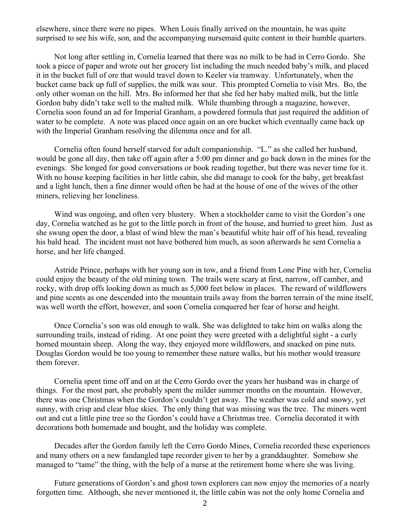elsewhere, since there were no pipes. When Louis finally arrived on the mountain, he was quite surprised to see his wife, son, and the accompanying nursemaid quite content in their humble quarters.

Not long after settling in, Cornelia learned that there was no milk to be had in Cerro Gordo. She took a piece of paper and wrote out her grocery list including the much needed baby's milk, and placed it in the bucket full of ore that would travel down to Keeler via tramway. Unfortunately, when the bucket came back up full of supplies, the milk was sour. This prompted Cornelia to visit Mrs. Bo, the only other woman on the hill. Mrs. Bo informed her that she fed her baby malted milk, but the little Gordon baby didn't take well to the malted milk. While thumbing through a magazine, however, Cornelia soon found an ad for Imperial Granham, a powdered formula that just required the addition of water to be complete. A note was placed once again on an ore bucket which eventually came back up with the Imperial Granham resolving the dilemma once and for all.

Cornelia often found herself starved for adult companionship. "L." as she called her husband, would be gone all day, then take off again after a 5:00 pm dinner and go back down in the mines for the evenings. She longed for good conversations or book reading together, but there was never time for it. With no house keeping facilities in her little cabin, she did manage to cook for the baby, get breakfast and a light lunch, then a fine dinner would often be had at the house of one of the wives of the other miners, relieving her loneliness.

Wind was ongoing, and often very blustery. When a stockholder came to visit the Gordon's one day, Cornelia watched as he got to the little porch in front of the house, and hurried to greet him. Just as she swung open the door, a blast of wind blew the man's beautiful white hair off of his head, revealing his bald head. The incident must not have bothered him much, as soon afterwards he sent Cornelia a horse, and her life changed.

Astride Prince, perhaps with her young son in tow, and a friend from Lone Pine with her, Cornelia could enjoy the beauty of the old mining town. The trails were scary at first, narrow, off camber, and rocky, with drop offs looking down as much as 5,000 feet below in places. The reward of wildflowers and pine scents as one descended into the mountain trails away from the barren terrain of the mine itself, was well worth the effort, however, and soon Cornelia conquered her fear of horse and height.

Once Cornelia's son was old enough to walk. She was delighted to take him on walks along the surrounding trails, instead of riding. At one point they were greeted with a delightful sight - a curly horned mountain sheep. Along the way, they enjoyed more wildflowers, and snacked on pine nuts. Douglas Gordon would be too young to remember these nature walks, but his mother would treasure them forever.

Cornelia spent time off and on at the Cerro Gordo over the years her husband was in charge of things. For the most part, she probably spent the milder summer months on the mountain. However, there was one Christmas when the Gordon's couldn't get away. The weather was cold and snowy, yet sunny, with crisp and clear blue skies. The only thing that was missing was the tree. The miners went out and cut a little pine tree so the Gordon's could have a Christmas tree. Cornelia decorated it with decorations both homemade and bought, and the holiday was complete.

Decades after the Gordon family left the Cerro Gordo Mines, Cornelia recorded these experiences and many others on a new fandangled tape recorder given to her by a granddaughter. Somehow she managed to "tame" the thing, with the help of a nurse at the retirement home where she was living.

Future generations of Gordon's and ghost town explorers can now enjoy the memories of a nearly forgotten time. Although, she never mentioned it, the little cabin was not the only home Cornelia and